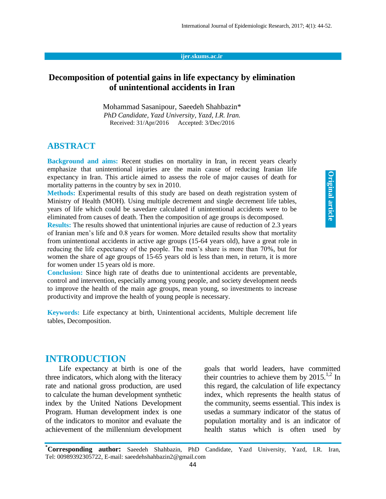#### **ijer.skums.ac.ir**

## **Decomposition of potential gains in life expectancy by elimination of unintentional accidents in Iran**

Mohammad Sasanipour, Saeedeh Shahbazin\* *PhD Candidate, Yazd University, Yazd, I.R. Iran.* Received: 31/Apr/2016 Accepted: 3/Dec/2016

### **ABSTRACT**

**Background and aims:** Recent studies on mortality in Iran, in recent years clearly emphasize that unintentional injuries are the main cause of reducing Iranian life expectancy in Iran. This article aimed to assess the role of major causes of death for mortality patterns in the country by sex in 2010.

**Methods:** Experimental results of this study are based on death registration system of Ministry of Health (MOH). Using multiple decrement and single decrement life tables, years of life which could be savedare calculated if unintentional accidents were to be eliminated from causes of death. Then the composition of age groups is decomposed.

**Results:** The results showed that unintentional injuries are cause of reduction of 2.3 years of Iranian men's life and 0.8 years for women. More detailed results show that mortality from unintentional accidents in active age groups (15-64 years old), have a great role in reducing the life expectancy of the people. The men's share is more than 70%, but for women the share of age groups of 15-65 years old is less than men, in return, it is more for women under 15 years old is more.

**Conclusion:** Since high rate of deaths due to unintentional accidents are preventable, control and intervention, especially among young people, and society development needs to improve the health of the main age groups, mean young, so investments to increase productivity and improve the health of young people is necessary.

**Keywords:** Life expectancy at birth, Unintentional accidents, Multiple decrement life tables, Decomposition.

## **INTRODUCTION**

Life expectancy at birth is one of the three indicators, which along with the literacy rate and national gross production, are used to calculate the human development synthetic index by the United Nations Development Program. Human development index is one of the indicators to monitor and evaluate the achievement of the millennium development

goals that world leaders, have committed their countries to achieve them by  $2015$ <sup>1,2</sup> In this regard, the calculation of life expectancy index, which represents the health status of the community, seems essential. This index is usedas a summary indicator of the status of population mortality and is an indicator of health status which is often used by

**\*Corresponding author:** Saeedeh Shahbazin, PhD Candidate, Yazd University, Yazd, I.R. Iran, Tel: 00989392305722, E-mail: saeedehshahbazin2@gmail.com 44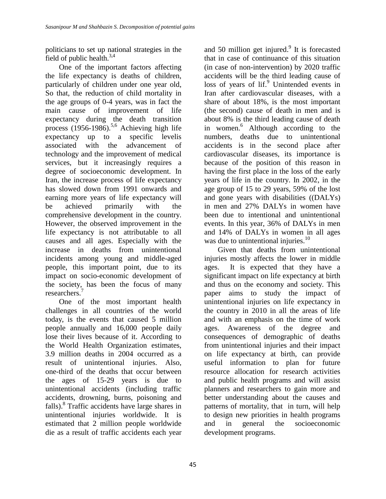politicians to set up national strategies in the field of public health.<sup>3,4</sup>

One of the important factors affecting the life expectancy is deaths of children, particularly of children under one year old, So that, the reduction of child mortality in the age groups of 0-4 years, was in fact the main cause of improvement of life expectancy during the death transition process  $(1956-1986)$ .<sup>5,6</sup> Achieving high life expectancy up to a specific levelis associated with the advancement of technology and the improvement of medical services, but it increasingly requires a degree of socioeconomic development. In Iran, the increase process of life expectancy has slowed down from 1991 onwards and earning more years of life expectancy will be achieved primarily with the comprehensive development in the country. However, the observed improvement in the life expectancy is not attributable to all causes and all ages. Especially with the increase in deaths from unintentional incidents among young and middle-aged people, this important point, due to its impact on socio-economic development of the society, has been the focus of many researchers. 7

One of the most important health challenges in all countries of the world today, is the events that caused 5 million people annually and 16,000 people daily lose their lives because of it. According to the World Health Organization estimates, 3.9 million deaths in 2004 occurred as a result of unintentional injuries. Also, one-third of the deaths that occur between the ages of 15-29 years is due to unintentional accidents (including traffic accidents, drowning, burns, poisoning and falls). 8 Traffic accidents have large shares in unintentional injuries worldwide. It is estimated that 2 million people worldwide die as a result of traffic accidents each year

and 50 million get injured.<sup>9</sup> It is forecasted that in case of continuance of this situation (in case of non-intervention) by 2020 traffic accidents will be the third leading cause of loss of years of lif.<sup>9</sup> Unintended events in Iran after cardiovascular diseases, with a share of about 18%, is the most important (the second) cause of death in men and is about 8% is the third leading cause of death in women. <sup>6</sup> Although according to the numbers, deaths due to unintentional accidents is in the second place after cardiovascular diseases, its importance is because of the position of this reason in having the first place in the loss of the early years of life in the country. In 2002, in the age group of 15 to 29 years, 59% of the lost and gone years with disabilities ((DALYs) in men and 27% DALYs in women have been due to intentional and unintentional events. In this year, 36% of DALYs in men and 14% of DALYs in women in all ages was due to unintentional injuries. $10$ 

Given that deaths from unintentional injuries mostly affects the lower in middle ages. It is expected that they have a significant impact on life expectancy at birth and thus on the economy and society. This paper aims to study the impact of unintentional injuries on life expectancy in the country in 2010 in all the areas of life and with an emphasis on the time of work ages. Awareness of the degree and consequences of demographic of deaths from unintentional injuries and their impact on life expectancy at birth, can provide useful information to plan for future resource allocation for research activities and public health programs and will assist planners and researchers to gain more and better understanding about the causes and patterns of mortality, that in turn, will help to design new priorities in health programs and in general the socioeconomic development programs.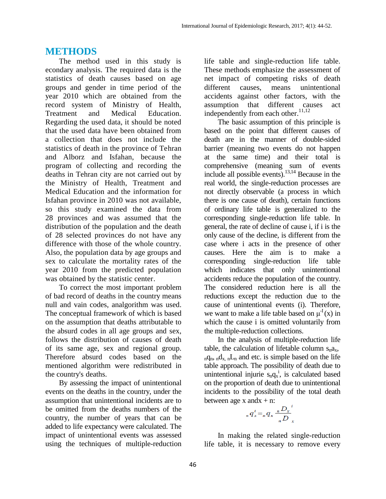## **METHODS**

The method used in this study is econdary analysis. The required data is the statistics of death causes based on age groups and gender in time period of the year 2010 which are obtained from the record system of Ministry of Health, Treatment and Medical Education. Regarding the used data, it should be noted that the used data have been obtained from a collection that does not include the statistics of death in the province of Tehran and Alborz and Isfahan, because the program of collecting and recording the deaths in Tehran city are not carried out by the Ministry of Health, Treatment and Medical Education and the information for Isfahan province in 2010 was not available, so this study examined the data from 28 provinces and was assumed that the distribution of the population and the death of 28 selected provinces do not have any difference with those of the whole country. Also, the population data by age groups and sex to calculate the mortality rates of the year 2010 from the predicted population was obtained by the statistic center.

To correct the most important problem of bad record of deaths in the country means null and vain codes, analgorithm was used. The conceptual framework of which is based on the assumption that deaths attributable to the absurd codes in all age groups and sex, follows the distribution of causes of death of its same age, sex and regional group. Therefore absurd codes based on the mentioned algorithm were redistributed in the country's deaths.

By assessing the impact of unintentional events on the deaths in the country, under the assumption that unintentional incidents are to be omitted from the deaths numbers of the country, the number of years that can be added to life expectancy were calculated. The impact of unintentional events was assessed using the techniques of multiple-reduction life table and single-reduction life table. These methods emphasize the assessment of net impact of competing risks of death different causes, means unintentional accidents against other factors, with the assumption that different causes act independently from each other.<sup>11,12</sup>

The basic assumption of this principle is based on the point that different causes of death are in the manner of double-sided barrier (meaning two events do not happen at the same time) and their total is comprehensive (meaning sum of events include all possible events). 13,14 Because in the real world, the single-reduction processes are not directly observable (a process in which there is one cause of death), certain functions of ordinary life table is generalized to the corresponding single-reduction life table. In general, the rate of decline of cause i, if i is the only cause of the decline, is different from the case where i acts in the presence of other causes. Here the aim is to make a corresponding single-reduction life table which indicates that only unintentional accidents reduce the population of the country. The considered reduction here is all the reductions except the reduction due to the cause of unintentional events (i). Therefore, we want to make a life table based on  $\mu^{-1}(x)$  in which the cause i is omitted voluntarily from the multiple-reduction collections.

In the analysis of multiple-reduction life table, the calculation of lifetable column  $s_n a_x$ ,  $nq_n$ ,  $nq_{x}$ ,  $nL_n$  and etc. is simple based on the life table approach. The possibility of death due to unintentional injurie  $s_n q_x^i$ , is calculated based on the proportion of death due to unintentional incidents to the possibility of the total death between age  $x$  and  $x + n$ :

$$
{}_{n}q_{x}^{i} = {}_{n}q_{x} \frac{D_{x}^{i}}{D_{x}^{i}}
$$

In making the related single-reduction life table, it is necessary to remove every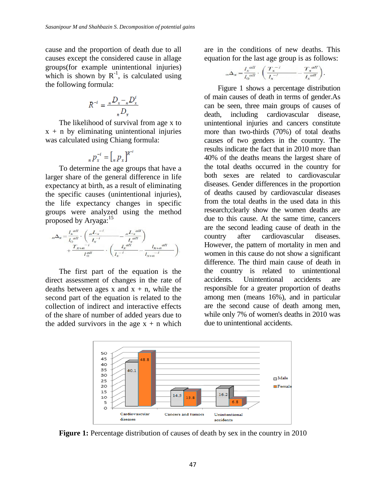cause and the proportion of death due to all causes except the considered cause in allage groups(for example unintentional injuries) which is shown by  $R^{-1}$ , is calculated using the following formula:

$$
R^{-i} = \frac{{}_{n}D_{x} - {}_{n}D_{x}^{i}}{_{n}D_{x}}
$$

The likelihood of survival from age x to  $x + n$  by eliminating unintentional injuries was calculated using Chiang formula:

$$
{}_nP_x^{-i} = [{}_nP_x]^{R^-}
$$

To determine the age groups that have a larger share of the general difference in life expectancy at birth, as a result of eliminating the specific causes (unintentional injuries), the life expectancy changes in specific groups were analyzed using the method proposed by Aryaga:<sup>15</sup>

The first part of the equation is the direct assessment of changes in the rate of deaths between ages x and  $x + n$ , while the second part of the equation is related to the collection of indirect and interactive effects of the share of number of added years due to the added survivors in the age  $x + n$  which are in the conditions of new deaths. This equation for the last age group is as follows:

$$
{}_{\infty}\Delta_x = \frac{l_x^{all}}{l_0^{all}} \cdot \left(\frac{T_x^{-1}}{l_x^{-1}} - \frac{T_x^{all}}{l_x^{all}}\right).
$$

Figure 1 shows a percentage distribution of main causes of death in terms of gender.As can be seen, three main groups of causes of death, including cardiovascular disease, unintentional injuries and cancers constitute more than two-thirds (70%) of total deaths causes of two genders in the country. The results indicate the fact that in 2010 more than 40% of the deaths means the largest share of the total deaths occurred in the country for both sexes are related to cardiovascular diseases. Gender differences in the proportion of deaths caused by cardiovascular diseases from the total deaths in the used data in this research;clearly show the women deaths are due to this cause. At the same time, cancers are the second leading cause of death in the country after cardiovascular diseases. However, the pattern of mortality in men and women in this cause do not show a significant difference. The third main cause of death in the country is related to unintentional accidents. Unintentional accidents are responsible for a greater proportion of deaths among men (means 16%), and in particular are the second cause of death among men, while only 7% of women's deaths in 2010 was due to unintentional accidents.



**Figure 1:** Percentage distribution of causes of death by sex in the country in 2010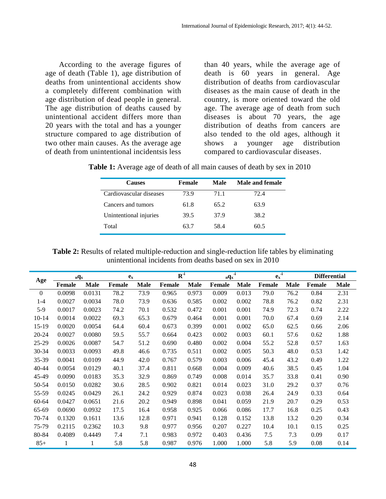According to the average figures of age of death (Table 1), age distribution of deaths from unintentional accidents show a completely different combination with age distribution of dead people in general. The age distribution of deaths caused by unintentional accident differs more than 20 years with the total and has a younger structure compared to age distribution of two other main causes. As the average age of death from unintentional incidentsis less

than 40 years, while the average age of death is 60 years in general. Age distribution of deaths from cardiovascular diseases as the main cause of death in the country, is more oriented toward the old age. The average age of death from such diseases is about 70 years, the age distribution of deaths from cancers are also tended to the old ages, although it shows a younger age distribution compared to cardiovascular diseases.

|  | Table 1: Average age of death of all main causes of death by sex in 2010 |
|--|--------------------------------------------------------------------------|
|--|--------------------------------------------------------------------------|

| <b>Causes</b>           | Female | Male | Male and female |  |  |  |
|-------------------------|--------|------|-----------------|--|--|--|
| Cardiovascular diseases | 73.9   | 71.1 | 72.4            |  |  |  |
| Cancers and tumors      | 61.8   | 65.2 | 63.9            |  |  |  |
| Unintentional injuries  | 39.5   | 37.9 | 38.2            |  |  |  |
| Total                   | 63.7   | 58.4 | 60.5            |  |  |  |

**Table 2:** Results of related multiple-reduction and single-reduction life tables by eliminating unintentional incidents from deaths based on sex in 2010

|           | $nq_x$        |             | $\mathbf{e}_{\mathbf{x}}$ |             | $\mathbf{R}^{-i}$ |             | -i<br>$nQ_X$  |             | $\mathbf{e}_{\mathbf{x}}^{-1}$ |             | <b>Differential</b> |             |
|-----------|---------------|-------------|---------------------------|-------------|-------------------|-------------|---------------|-------------|--------------------------------|-------------|---------------------|-------------|
| Age       | <b>Female</b> | <b>Male</b> | Female                    | <b>Male</b> | Female            | <b>Male</b> | <b>Female</b> | <b>Male</b> | <b>Female</b>                  | <b>Male</b> | <b>Female</b>       | <b>Male</b> |
| $\theta$  | 0.0098        | 0.0131      | 78.2                      | 73.9        | 0.965             | 0.973       | 0.009         | 0.013       | 79.0                           | 76.2        | 0.84                | 2.31        |
| $1 - 4$   | 0.0027        | 0.0034      | 78.0                      | 73.9        | 0.636             | 0.585       | 0.002         | 0.002       | 78.8                           | 76.2        | 0.82                | 2.31        |
| $5-9$     | 0.0017        | 0.0023      | 74.2                      | 70.1        | 0.532             | 0.472       | 0.001         | 0.001       | 74.9                           | 72.3        | 0.74                | 2.22        |
| $10 - 14$ | 0.0014        | 0.0022      | 69.3                      | 65.3        | 0.679             | 0.464       | 0.001         | 0.001       | 70.0                           | 67.4        | 0.69                | 2.14        |
| $15-19$   | 0.0020        | 0.0054      | 64.4                      | 60.4        | 0.673             | 0.399       | 0.001         | 0.002       | 65.0                           | 62.5        | 0.66                | 2.06        |
| 20-24     | 0.0027        | 0.0080      | 59.5                      | 55.7        | 0.664             | 0.423       | 0.002         | 0.003       | 60.1                           | 57.6        | 0.62                | 1.88        |
| 25-29     | 0.0026        | 0.0087      | 54.7                      | 51.2        | 0.690             | 0.480       | 0.002         | 0.004       | 55.2                           | 52.8        | 0.57                | 1.63        |
| 30-34     | 0.0033        | 0.0093      | 49.8                      | 46.6        | 0.735             | 0.511       | 0.002         | 0.005       | 50.3                           | 48.0        | 0.53                | 1.42        |
| 35-39     | 0.0041        | 0.0109      | 44.9                      | 42.0        | 0.767             | 0.579       | 0.003         | 0.006       | 45.4                           | 43.2        | 0.49                | 1.22        |
| 40-44     | 0.0054        | 0.0129      | 40.1                      | 37.4        | 0.811             | 0.668       | 0.004         | 0.009       | 40.6                           | 38.5        | 0.45                | 1.04        |
| 45-49     | 0.0090        | 0.0183      | 35.3                      | 32.9        | 0.869             | 0.749       | 0.008         | 0.014       | 35.7                           | 33.8        | 0.41                | 0.90        |
| 50-54     | 0.0150        | 0.0282      | 30.6                      | 28.5        | 0.902             | 0.821       | 0.014         | 0.023       | 31.0                           | 29.2        | 0.37                | 0.76        |
| 55-59     | 0.0245        | 0.0429      | 26.1                      | 24.2        | 0.929             | 0.874       | 0.023         | 0.038       | 26.4                           | 24.9        | 0.33                | 0.64        |
| 60-64     | 0.0427        | 0.0651      | 21.6                      | 20.2        | 0.949             | 0.898       | 0.041         | 0.059       | 21.9                           | 20.7        | 0.29                | 0.53        |
| 65-69     | 0.0690        | 0.0932      | 17.5                      | 16.4        | 0.958             | 0.925       | 0.066         | 0.086       | 17.7                           | 16.8        | 0.25                | 0.43        |
| 70-74     | 0.1320        | 0.1611      | 13.6                      | 12.8        | 0.971             | 0.941       | 0.128         | 0.152       | 13.8                           | 13.2        | 0.20                | 0.34        |
| 75-79     | 0.2115        | 0.2362      | 10.3                      | 9.8         | 0.977             | 0.956       | 0.207         | 0.227       | 10.4                           | 10.1        | 0.15                | 0.25        |
| 80-84     | 0.4089        | 0.4449      | 7.4                       | 7.1         | 0.983             | 0.972       | 0.403         | 0.436       | 7.5                            | 7.3         | 0.09                | 0.17        |
| $85+$     | 1             | 1           | 5.8                       | 5.8         | 0.987             | 0.976       | 1.000         | 1.000       | 5.8                            | 5.9         | 0.08                | 0.14        |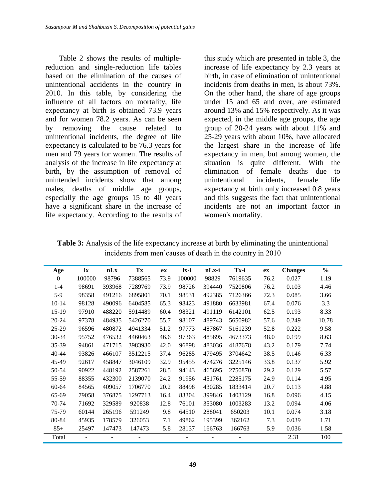Table 2 shows the results of multiplereduction and single-reduction life tables based on the elimination of the causes of unintentional accidents in the country in 2010. In this table, by considering the influence of all factors on mortality, life expectancy at birth is obtained 73.9 years and for women 78.2 years. As can be seen by removing the cause related to unintentional incidents, the degree of life expectancy is calculated to be 76.3 years for men and 79 years for women. The results of analysis of the increase in life expectancy at birth, by the assumption of removal of unintended incidents show that among males, deaths of middle age groups, especially the age groups 15 to 40 years have a significant share in the increase of life expectancy. According to the results of

this study which are presented in table 3, the increase of life expectancy by 2.3 years at birth, in case of elimination of unintentional incidents from deaths in men, is about 73%. On the other hand, the share of age groups under 15 and 65 and over, are estimated around 13% and 15% respectively. As it was expected, in the middle age groups, the age group of 20-24 years with about 11% and 25-29 years with about 10%, have allocated the largest share in the increase of life expectancy in men, but among women, the situation is quite different. With the elimination of female deaths due to unintentional incidents, female life expectancy at birth only increased 0.8 years and this suggests the fact that unintentional incidents are not an important factor in women's mortality.

**Table 3:** Analysis of the life expectancy increase at birth by eliminating the unintentional incidents from men'causes of death in the country in 2010

| Age       | $\mathbf{I}$ | nLx    | Tx      | ex   | lx-i   | nLx-i  | Tx-i           | ex   | <b>Changes</b> | $\frac{0}{0}$ |
|-----------|--------------|--------|---------|------|--------|--------|----------------|------|----------------|---------------|
| 0         | 100000       | 98796  | 7388565 | 73.9 | 100000 | 98829  | 7619635        | 76.2 | 0.027          | 1.19          |
| $1 - 4$   | 98691        | 393968 | 7289769 | 73.9 | 98726  | 394440 | 7520806        | 76.2 | 0.103          | 4.46          |
| $5-9$     | 98358        | 491216 | 6895801 | 70.1 | 98531  | 492385 | 7126366        | 72.3 | 0.085          | 3.66          |
| $10-14$   | 98128        | 490096 | 6404585 | 65.3 | 98423  | 491880 | 6633981        | 67.4 | 0.076          | 3.3           |
| $15-19$   | 97910        | 488220 | 5914489 | 60.4 | 98321  | 491119 | 6142101        | 62.5 | 0.193          | 8.33          |
| $20 - 24$ | 97378        | 484935 | 5426270 | 55.7 | 98107  | 489743 | 5650982        | 57.6 | 0.249          | 10.78         |
| 25-29     | 96596        | 480872 | 4941334 | 51.2 | 97773  | 487867 | 5161239        | 52.8 | 0.222          | 9.58          |
| $30 - 34$ | 95752        | 476532 | 4460463 | 46.6 | 97363  | 485695 | 4673373        | 48.0 | 0.199          | 8.63          |
| 35-39     | 94861        | 471715 | 3983930 | 42.0 | 96898  | 483036 | 4187678        | 43.2 | 0.179          | 7.74          |
| $40 - 44$ | 93826        | 466107 | 3512215 | 37.4 | 96285  | 479495 | 3704642        | 38.5 | 0.146          | 6.33          |
| 45-49     | 92617        | 458847 | 3046109 | 32.9 | 95455  | 474276 | 3225146        | 33.8 | 0.137          | 5.92          |
| 50-54     | 90922        | 448192 | 2587261 | 28.5 | 94143  | 465695 | 2750870        | 29.2 | 0.129          | 5.57          |
| 55-59     | 88355        | 432300 | 2139070 | 24.2 | 91956  | 451761 | 2285175        | 24.9 | 0.114          | 4.95          |
| 60-64     | 84565        | 409057 | 1706770 | 20.2 | 88498  | 430285 | 1833414        | 20.7 | 0.113          | 4.88          |
| 65-69     | 79058        | 376875 | 1297713 | 16.4 | 83304  | 399846 | 1403129        | 16.8 | 0.096          | 4.15          |
| 70-74     | 71692        | 329589 | 920838  | 12.8 | 76101  | 353080 | 1003283        | 13.2 | 0.094          | 4.06          |
| 75-79     | 60144        | 265196 | 591249  | 9.8  | 64510  | 288041 | 650203         | 10.1 | 0.074          | 3.18          |
| 80-84     | 45935        | 178579 | 326053  | 7.1  | 49862  | 195399 | 362162         | 7.3  | 0.039          | 1.71          |
| $85+$     | 25497        | 147473 | 147473  | 5.8  | 28137  | 166763 | 166763         | 5.9  | 0.036          | 1.58          |
| Total     |              |        |         |      |        | ۰      | $\blacksquare$ |      | 2.31           | 100           |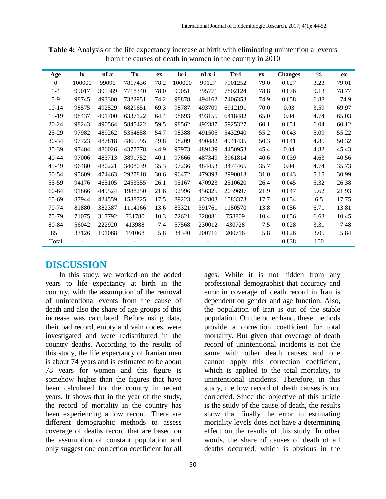| Age       | $\mathbf{I}$ | nLx    | Tx      | ex   | lx-i                     | nLx-i  | Tx-i    | ex   | <b>Changes</b> | $\frac{6}{9}$ | ex    |
|-----------|--------------|--------|---------|------|--------------------------|--------|---------|------|----------------|---------------|-------|
| $\theta$  | 100000       | 99096  | 7817436 | 78.2 | 100000                   | 99127  | 7901252 | 79.0 | 0.027          | 3.23          | 79.01 |
| $1 - 4$   | 99017        | 395389 | 7718340 | 78.0 | 99051                    | 395771 | 7802124 | 78.8 | 0.076          | 9.13          | 78.77 |
| $5-9$     | 98745        | 493300 | 7322951 | 74.2 | 98878                    | 494162 | 7406353 | 74.9 | 0.058          | 6.88          | 74.9  |
| $10-14$   | 98575        | 492529 | 6829651 | 69.3 | 98787                    | 493709 | 6912191 | 70.0 | 0.03           | 3.59          | 69.97 |
| $15-19$   | 98437        | 491700 | 6337122 | 64.4 | 98693                    | 493155 | 6418482 | 65.0 | 0.04           | 4.74          | 65.03 |
| $20 - 24$ | 98243        | 490564 | 5845422 | 59.5 | 98562                    | 492387 | 5925327 | 60.1 | 0.051          | 6.04          | 60.12 |
| $25-29$   | 97982        | 489262 | 5354858 | 54.7 | 98388                    | 491505 | 5432940 | 55.2 | 0.043          | 5.09          | 55.22 |
| $30 - 34$ | 97723        | 487818 | 4865595 | 49.8 | 98209                    | 490482 | 4941435 | 50.3 | 0.041          | 4.85          | 50.32 |
| 35-39     | 97404        | 486026 | 4377778 | 44.9 | 97973                    | 489139 | 4450953 | 45.4 | 0.04           | 4.82          | 45.43 |
| $40 - 44$ | 97006        | 483713 | 3891752 | 40.1 | 97666                    | 487349 | 3961814 | 40.6 | 0.039          | 4.63          | 40.56 |
| 45-49     | 96480        | 480221 | 3408039 | 35.3 | 97236                    | 484453 | 3474465 | 35.7 | 0.04           | 4.74          | 35.73 |
| 50-54     | 95609        | 474463 | 2927818 | 30.6 | 96472                    | 479393 | 2990013 | 31.0 | 0.043          | 5.15          | 30.99 |
| 55-59     | 94176        | 465105 | 2453355 | 26.1 | 95167                    | 470923 | 2510620 | 26.4 | 0.045          | 5.32          | 26.38 |
| $60 - 64$ | 91866        | 449524 | 1988250 | 21.6 | 92996                    | 456325 | 2039697 | 21.9 | 0.047          | 5.62          | 21.93 |
| 65-69     | 87944        | 424559 | 1538725 | 17.5 | 89223                    | 432803 | 1583373 | 17.7 | 0.054          | 6.5           | 17.75 |
| 70-74     | 81880        | 382387 | 1114166 | 13.6 | 83321                    | 391761 | 1150570 | 13.8 | 0.056          | 6.71          | 13.81 |
| 75-79     | 71075        | 317792 | 731780  | 10.3 | 72621                    | 328081 | 758809  | 10.4 | 0.056          | 6.63          | 10.45 |
| 80-84     | 56042        | 222920 | 413988  | 7.4  | 57568                    | 230012 | 430728  | 7.5  | 0.028          | 3.31          | 7.48  |
| $85+$     | 33126        | 191068 | 191068  | 5.8  | 34340                    | 200716 | 200716  | 5.8  | 0.026          | 3.05          | 5.84  |
| Total     |              |        |         |      | $\overline{\phantom{a}}$ |        |         |      | 0.838          | 100           |       |

**Table 4:** Analysis of the life expectancy increase at birth with eliminating unintention al events from the causes of death in women in the country in 2010

## **DISCUSSION**

In this study, we worked on the added years to life expectancy at birth in the country, with the assumption of the removal of unintentional events from the cause of death and also the share of age groups of this increase was calculated. Before using data, their bad record, empty and vain codes, were investigated and were redistributed in the country deaths. According to the results of this study, the life expectancy of Iranian men is about 74 years and is estimated to be about 78 years for women and this figure is somehow higher than the figures that have been calculated for the country in recent years. It shows that in the year of the study, the record of mortality in the country has been experiencing a low record. There are different demographic methods to assess coverage of deaths record that are based on the assumption of constant population and only suggest one correction coefficient for all

ages. While it is not hidden from any professional demographist that accuracy and error in coverage of death record in Iran is dependent on gender and age function. Also, the population of Iran is out of the stable population. On the other hand, these methods provide a correction coefficient for total mortality. But given that coverage of death record of unintentional incidents is not the same with other death causes and one cannot apply this correction coefficient, which is applied to the total mortality, to unintentional incidents. Therefore, in this study, the low record of death causes is not corrected. Since the objective of this article is the study of the cause of death, the results show that finally the error in estimating mortality levels does not have a determining effect on the results of this study. In other words, the share of causes of death of all deaths occurred, which is obvious in the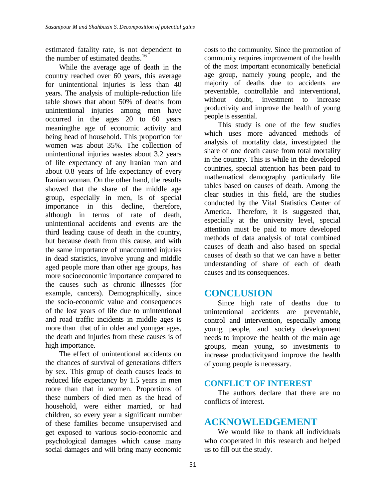estimated fatality rate, is not dependent to the number of estimated deaths.<sup>16</sup>

While the average age of death in the country reached over 60 years, this average for unintentional injuries is less than 40 years. The analysis of multiple-reduction life table shows that about 50% of deaths from unintentional injuries among men have occurred in the ages 20 to 60 years meaningthe age of economic activity and being head of household. This proportion for women was about 35%. The collection of unintentional injuries wastes about 3.2 years of life expectancy of any Iranian man and about 0.8 years of life expectancy of every Iranian woman. On the other hand, the results showed that the share of the middle age group, especially in men, is of special importance in this decline, therefore, although in terms of rate of death, unintentional accidents and events are the third leading cause of death in the country, but because death from this cause, and with the same importance of unaccounted injuries in dead statistics, involve young and middle aged people more than other age groups, has more socioeconomic importance compared to the causes such as chronic illnesses (for example, cancers). Demographically, since the socio-economic value and consequences of the lost years of life due to unintentional and road traffic incidents in middle ages is more than that of in older and younger ages, the death and injuries from these causes is of high importance.

The effect of unintentional accidents on the chances of survival of generations differs by sex. This group of death causes leads to reduced life expectancy by 1.5 years in men more than that in women. Proportions of these numbers of died men as the head of household, were either married, or had children, so every year a significant number of these families become unsupervised and get exposed to various socio-economic and psychological damages which cause many social damages and will bring many economic

costs to the community. Since the promotion of community requires improvement of the health of the most important economically beneficial age group, namely young people, and the majority of deaths due to accidents are preventable, controllable and interventional, without doubt, investment to increase productivity and improve the health of young people is essential.

This study is one of the few studies which uses more advanced methods of analysis of mortality data, investigated the share of one death cause from total mortality in the country. This is while in the developed countries, special attention has been paid to mathematical demography particularly life tables based on causes of death. Among the clear studies in this field, are the studies conducted by the Vital Statistics Center of America. Therefore, it is suggested that, especially at the university level, special attention must be paid to more developed methods of data analysis of total combined causes of death and also based on special causes of death so that we can have a better understanding of share of each of death causes and its consequences.

# **CONCLUSION**

Since high rate of deaths due to unintentional accidents are preventable, control and intervention, especially among young people, and society development needs to improve the health of the main age groups, mean young, so investments to increase productivityand improve the health of young people is necessary.

## **CONFLICT OF INTEREST**

The authors declare that there are no conflicts of interest.

# **ACKNOWLEDGEMENT**

We would like to thank all individuals who cooperated in this research and helped us to fill out the study.